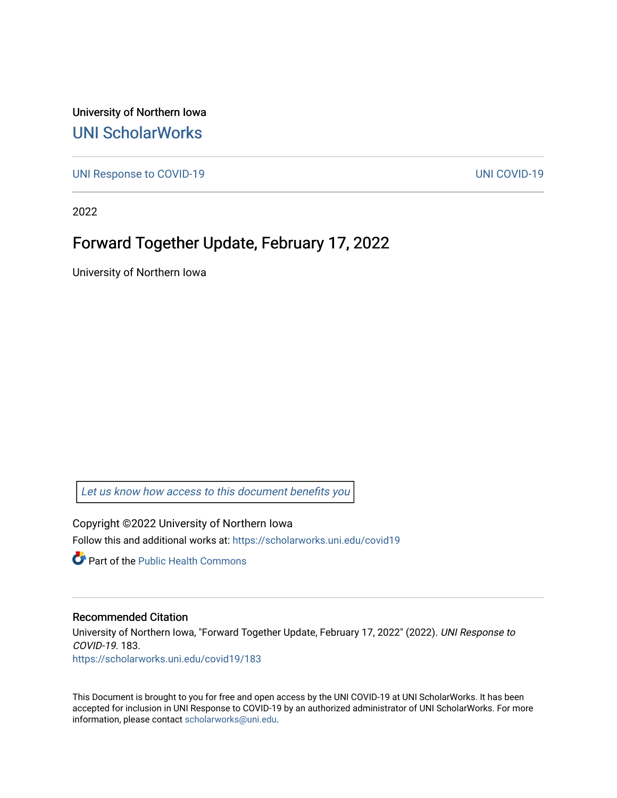University of Northern Iowa [UNI ScholarWorks](https://scholarworks.uni.edu/) 

[UNI Response to COVID-19](https://scholarworks.uni.edu/covid19) [UNI COVID-19](https://scholarworks.uni.edu/covid) 

2022

## Forward Together Update, February 17, 2022

University of Northern Iowa

[Let us know how access to this document benefits you](https://scholarworks.uni.edu/feedback_form.html) 

Copyright ©2022 University of Northern Iowa Follow this and additional works at: [https://scholarworks.uni.edu/covid19](https://scholarworks.uni.edu/covid19?utm_source=scholarworks.uni.edu%2Fcovid19%2F183&utm_medium=PDF&utm_campaign=PDFCoverPages)

**C** Part of the Public Health Commons

## Recommended Citation

University of Northern Iowa, "Forward Together Update, February 17, 2022" (2022). UNI Response to COVID-19. 183. [https://scholarworks.uni.edu/covid19/183](https://scholarworks.uni.edu/covid19/183?utm_source=scholarworks.uni.edu%2Fcovid19%2F183&utm_medium=PDF&utm_campaign=PDFCoverPages)

This Document is brought to you for free and open access by the UNI COVID-19 at UNI ScholarWorks. It has been accepted for inclusion in UNI Response to COVID-19 by an authorized administrator of UNI ScholarWorks. For more information, please contact [scholarworks@uni.edu.](mailto:scholarworks@uni.edu)